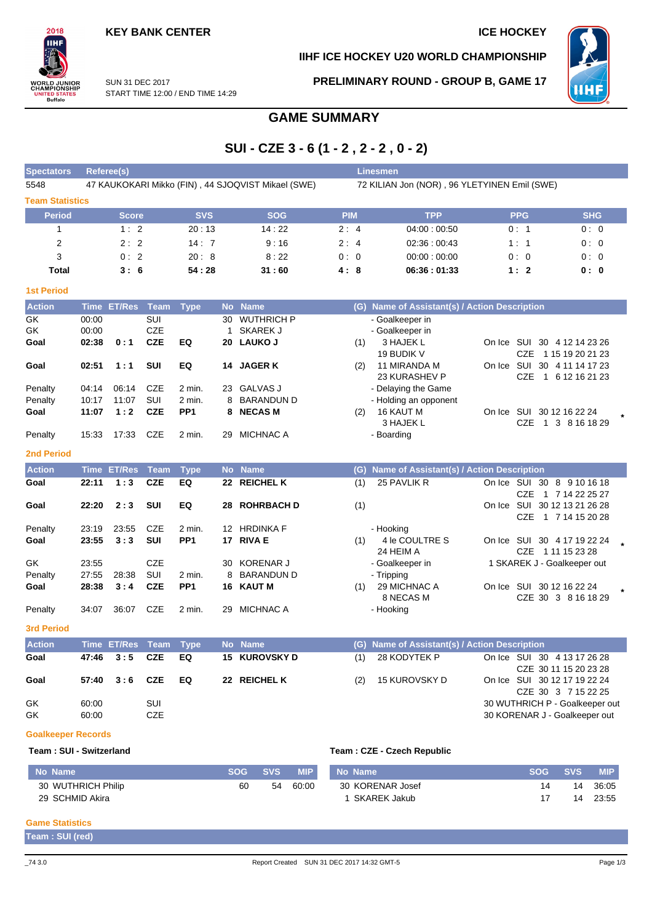### **KEY BANK CENTER ICE HOCKEY**

### **IIHF ICE HOCKEY U20 WORLD CHAMPIONSHIP**



SUN 31 DEC 2017 START TIME 12:00 / END TIME 14:29 **PRELIMINARY ROUND - GROUP B, GAME 17**



# **GAME SUMMARY**

# **SUI - CZE 3 - 6 (1 - 2 , 2 - 2 , 0 - 2)**

| <b>Spectators</b>       | Referee(s)<br><b>Linesmen</b> |                    |             |                           |           |                                                    |                                              |                                               |                                |                                              |  |  |  |  |  |  |
|-------------------------|-------------------------------|--------------------|-------------|---------------------------|-----------|----------------------------------------------------|----------------------------------------------|-----------------------------------------------|--------------------------------|----------------------------------------------|--|--|--|--|--|--|
| 5548                    |                               |                    |             |                           |           | 47 KAUKOKARI Mikko (FIN), 44 SJOQVIST Mikael (SWE) | 72 KILIAN Jon (NOR), 96 YLETYINEN Emil (SWE) |                                               |                                |                                              |  |  |  |  |  |  |
| <b>Team Statistics</b>  |                               |                    |             |                           |           |                                                    |                                              |                                               |                                |                                              |  |  |  |  |  |  |
| <b>Period</b>           |                               | <b>Score</b>       |             | <b>SVS</b>                |           | <b>SOG</b>                                         | <b>PIM</b>                                   | <b>TPP</b>                                    | <b>PPG</b>                     | <b>SHG</b>                                   |  |  |  |  |  |  |
| 1                       |                               | 1:2                |             | 20:13                     |           | 14:22                                              | 2:4                                          | 04:00:00:50                                   | 0:1                            | 0:0                                          |  |  |  |  |  |  |
| 2                       |                               | 2:2                |             | 14:7                      |           | 9:16                                               | 2:4                                          | 02:36:00:43                                   | 1:1                            | 0:0                                          |  |  |  |  |  |  |
| 3                       |                               | 0:2                |             | 20:8                      |           | 8:22                                               | 0:0                                          | 00:00:00:00                                   | 0:0                            | 0:0                                          |  |  |  |  |  |  |
| <b>Total</b>            |                               | 3:6                |             | 54:28                     |           | 31:60                                              | 4:8                                          | 06:36:01:33                                   | 1:2                            | 0: 0                                         |  |  |  |  |  |  |
| <b>1st Period</b>       |                               |                    |             |                           |           |                                                    |                                              |                                               |                                |                                              |  |  |  |  |  |  |
| <b>Action</b>           | <b>Time</b>                   | <b>ET/Res</b>      | <b>Team</b> | <b>Type</b>               | <b>No</b> | <b>Name</b>                                        |                                              | (G) Name of Assistant(s) / Action Description |                                |                                              |  |  |  |  |  |  |
| GK                      | 00:00                         |                    | SUI         |                           | 30        | <b>WUTHRICH P</b>                                  |                                              | - Goalkeeper in                               |                                |                                              |  |  |  |  |  |  |
| GK                      | 00:00                         |                    | <b>CZE</b>  |                           | 1         | <b>SKAREK J</b>                                    |                                              | - Goalkeeper in                               |                                |                                              |  |  |  |  |  |  |
| Goal                    | 02:38                         | 0:1                | <b>CZE</b>  | EQ                        |           | 20 LAUKO J                                         | (1)                                          | 3 HAJEK L                                     | On Ice SUI 30 4 12 14 23 26    |                                              |  |  |  |  |  |  |
|                         |                               |                    |             |                           |           |                                                    |                                              | 19 BUDIK V                                    | <b>CZE</b>                     | 1 15 19 20 21 23                             |  |  |  |  |  |  |
| Goal                    | 02:51                         | 1:1                | SUI         | EQ                        | 14        | <b>JAGER K</b>                                     | (2)                                          | 11 MIRANDA M                                  | On Ice SUI 30 4 11 14 17 23    |                                              |  |  |  |  |  |  |
|                         |                               |                    |             |                           |           |                                                    |                                              | 23 KURASHEV P                                 | CZE                            | 1 6 12 16 21 23                              |  |  |  |  |  |  |
| Penalty                 | 04:14                         | 06:14<br>11:07     | CZE<br>SUI  | 2 min.                    | 23<br>8   | <b>GALVAS J</b><br><b>BARANDUN D</b>               |                                              | - Delaying the Game                           |                                |                                              |  |  |  |  |  |  |
| Penalty<br>Goal         | 10:17<br>11:07                | 1:2                | <b>CZE</b>  | 2 min.<br>PP <sub>1</sub> | 8         | <b>NECASM</b>                                      | (2)                                          | - Holding an opponent<br>16 KAUT M            | On Ice SUI 30 12 16 22 24      |                                              |  |  |  |  |  |  |
|                         |                               |                    |             |                           |           |                                                    |                                              | 3 HAJEK L                                     | <b>CZE</b>                     | 1 3 8 16 18 29                               |  |  |  |  |  |  |
| Penalty                 | 15:33                         | 17:33              | CZE         | 2 min.                    | 29        | MICHNAC A                                          |                                              | - Boarding                                    |                                |                                              |  |  |  |  |  |  |
| <b>2nd Period</b>       |                               |                    |             |                           |           |                                                    |                                              |                                               |                                |                                              |  |  |  |  |  |  |
| <b>Action</b>           |                               | <b>Time ET/Res</b> | <b>Team</b> | <b>Type</b>               |           | No Name                                            | (G)                                          | Name of Assistant(s) / Action Description     |                                |                                              |  |  |  |  |  |  |
| Goal                    | 22:11                         | 1:3                | <b>CZE</b>  | EQ                        |           | 22 REICHEL K                                       | (1)                                          | 25 PAVLIK R                                   | On Ice SUI 30 8 9 10 16 18     |                                              |  |  |  |  |  |  |
|                         |                               |                    |             |                           |           |                                                    |                                              |                                               | CZE                            | 1 7 14 22 25 27                              |  |  |  |  |  |  |
| Goal                    | 22:20                         | 2:3                | SUI         | EQ                        | 28        | <b>ROHRBACH D</b>                                  | (1)                                          |                                               | On Ice SUI 30 12 13 21 26 28   |                                              |  |  |  |  |  |  |
|                         |                               |                    |             |                           |           |                                                    |                                              |                                               | CZE                            | 1 7 14 15 20 28                              |  |  |  |  |  |  |
| Penalty                 | 23:19                         | 23:55              | <b>CZE</b>  | 2 min.                    |           | 12 HRDINKA F                                       |                                              | - Hooking                                     |                                |                                              |  |  |  |  |  |  |
| Goal                    | 23:55                         | 3:3                | SUI         | PP <sub>1</sub>           |           | 17 RIVA E                                          | (1)                                          | 4 le COULTRE S<br>24 HEIM A                   | On Ice SUI 30 4 17 19 22 24    | CZE 1 11 15 23 28                            |  |  |  |  |  |  |
| GK                      | 23:55                         |                    | <b>CZE</b>  |                           | 30        | <b>KORENAR J</b>                                   |                                              | - Goalkeeper in                               | 1 SKAREK J - Goalkeeper out    |                                              |  |  |  |  |  |  |
| Penalty                 | 27:55                         | 28:38              | SUI         | 2 min.                    | 8         | <b>BARANDUN D</b>                                  |                                              | - Tripping                                    |                                |                                              |  |  |  |  |  |  |
| Goal                    | 28:38                         | 3:4                | <b>CZE</b>  | PP <sub>1</sub>           |           | 16 KAUT M                                          | (1)                                          | 29 MICHNAC A                                  | On Ice SUI 30 12 16 22 24      |                                              |  |  |  |  |  |  |
|                         |                               |                    |             |                           |           |                                                    |                                              | 8 NECAS M                                     |                                | CZE 30 3 8 16 18 29                          |  |  |  |  |  |  |
| Penalty                 | 34:07                         | 36:07              | CZE         | 2 min.                    | 29        | <b>MICHNAC A</b>                                   |                                              | - Hooking                                     |                                |                                              |  |  |  |  |  |  |
| <b>3rd Period</b>       |                               |                    |             |                           |           |                                                    |                                              |                                               |                                |                                              |  |  |  |  |  |  |
| <b>Action</b>           |                               | Time ET/Res        | Team        | <b>Type</b>               |           | No Name                                            |                                              | (G) Name of Assistant(s) / Action Description |                                |                                              |  |  |  |  |  |  |
| Goal                    | 47:46                         | 3:5                | CZE         | EQ                        |           | 15 KUROVSKY D                                      | (1)                                          | 28 KODYTEK P                                  | On Ice SUI 30 4 13 17 26 28    |                                              |  |  |  |  |  |  |
| Goal                    | 57:40                         | 3:6                | <b>CZE</b>  | EQ                        |           | 22 REICHEL K                                       | (2)                                          | 15 KUROVSKY D                                 | On Ice SUI 30 12 17 19 22 24   | CZE 30 11 15 20 23 28<br>CZE 30 3 7 15 22 25 |  |  |  |  |  |  |
| GK                      | 60:00                         |                    | SUI         |                           |           |                                                    |                                              |                                               | 30 WUTHRICH P - Goalkeeper out |                                              |  |  |  |  |  |  |
| GK                      | 60:00                         |                    | CZE         |                           |           |                                                    |                                              |                                               | 30 KORENAR J - Goalkeeper out  |                                              |  |  |  |  |  |  |
|                         |                               |                    |             |                           |           |                                                    |                                              |                                               |                                |                                              |  |  |  |  |  |  |
|                         | <b>Goalkeeper Records</b>     |                    |             |                           |           |                                                    |                                              |                                               |                                |                                              |  |  |  |  |  |  |
| Team: SUI - Switzerland |                               |                    |             |                           |           |                                                    | Team: CZE - Czech Republic                   |                                               |                                |                                              |  |  |  |  |  |  |

### **No Name SOG SVS MIP** 30 WUTHRICH Philip 29 SCHMID Akira 60 54 60:00 **No Name SOG SVS MIP** 30 KORENAR Josef 1 SKAREK Jakub 14 17  $\overline{14}$ 14 23:55 36:05

### **Game Statistics**

**Team : SUI (red)**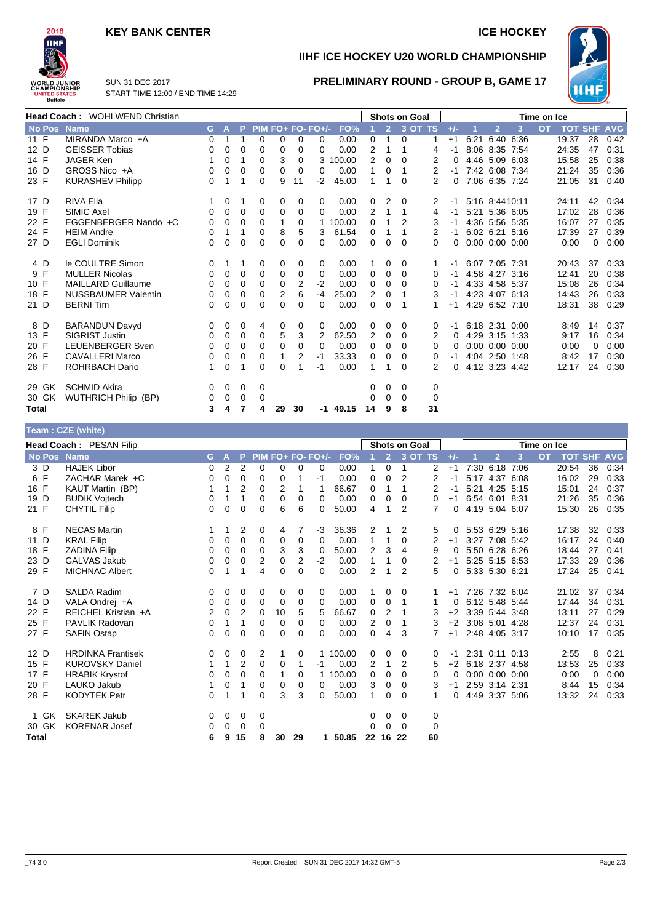## **KEY BANK CENTER ICE HOCKEY**



**IIHF ICE HOCKEY U20 WORLD CHAMPIONSHIP**

**PRELIMINARY ROUND - GROUP B, GAME 17**



SUN 31 DEC 2017 START TIME 12:00 / END TIME 14:29

|               | <b>Head Coach: WOHLWEND Christian</b> |    |              |    |             |    |    |                   | <b>Shots on Goal</b> |          |                |           |    | Time on Ice |      |                      |           |           |       |                |            |
|---------------|---------------------------------------|----|--------------|----|-------------|----|----|-------------------|----------------------|----------|----------------|-----------|----|-------------|------|----------------------|-----------|-----------|-------|----------------|------------|
| <b>No Pos</b> | <b>Name</b>                           | G. | $\mathbf{A}$ | P. |             |    |    | PIM FO+ FO- FO+/- | FO%                  |          | 2 <sup>7</sup> | $3$ OT TS |    | $+/-$       |      | $\overline{2}$       | 3         | <b>OT</b> |       | <b>TOT SHF</b> | <b>AVG</b> |
| 11 F          | MIRANDA Marco +A                      | 0  | 1            | 1  | $\Omega$    | 0  | 0  | 0                 | 0.00                 | 0        | 1              | $\Omega$  | 1  | $+1$        | 6:21 |                      | 6:40 6:36 |           | 19:37 | 28             | 0:42       |
| 12 D          | <b>GEISSER Tobias</b>                 | 0  | 0            | 0  | 0           | 0  | 0  | 0                 | 0.00                 | 2        |                | 1         | 4  | -1          |      | 8:06 8:35 7:54       |           |           | 24:35 | 47             | 0:31       |
| 14 F          | <b>JAGER Ken</b>                      |    | 0            | 1  | $\Omega$    | 3  | 0  | 3                 | 100.00               | 2        | 0              | 0         | 2  | 0           |      | 4:46 5:09 6:03       |           |           | 15:58 | 25             | 0:38       |
| 16 D          | GROSS Nico +A                         | 0  | 0            | 0  | 0           | 0  | 0  | 0                 | 0.00                 | 1        | 0              | 1         | 2  | -1          |      | 7:42 6:08 7:34       |           |           | 21:24 | 35             | 0:36       |
| 23 F          | <b>KURASHEV Philipp</b>               | 0  | 1            | 1  | 0           | 9  | 11 | $-2$              | 45.00                | 1        | 1              | $\Omega$  | 2  | 0           |      | 7:06 6:35 7:24       |           |           | 21:05 | 31             | 0:40       |
| 17 D          | <b>RIVA Elia</b>                      |    | 0            | 1  | 0           | 0  | 0  | 0                 | 0.00                 | 0        | 2              | 0         | 2  | -1          |      | 5:16 8:4410:11       |           |           | 24:11 | 42             | 0:34       |
| 19 F          | SIMIC Axel                            | 0  | 0            | 0  | 0           | 0  | 0  | $\Omega$          | 0.00                 | 2        | 1              | 1         | 4  | -1          |      | 5:21 5:36 6:05       |           |           | 17:02 | 28             | 0:36       |
| 22 F          | EGGENBERGER Nando +C                  | 0  | 0            | 0  | 0           |    | 0  | 1.                | 100.00               | $\Omega$ |                |           | 3  | -1          |      | 4:36 5:56 5:35       |           |           | 16:07 | 27             | 0:35       |
| 24 F          | <b>HEIM Andre</b>                     | 0  |              | 1  | 0           | 8  | 5  | 3                 | 61.54                | 0        |                |           | 2  | -1          |      | 6:02 6:21 5:16       |           |           | 17:39 | 27             | 0:39       |
| 27 D          | <b>EGLI Dominik</b>                   | 0  | 0            | 0  | 0           | 0  | 0  | 0                 | 0.00                 | 0        | 0              | 0         | 0  | 0           |      | $0:00$ $0:00$ $0:00$ |           |           | 0:00  | $\Omega$       | 0:00       |
| 4 D           | le COULTRE Simon                      | 0  | 1            | 1  | 0           | 0  | 0  | 0                 | 0.00                 |          | 0              | 0         | 1  | -1          |      | 6:07 7:05 7:31       |           |           | 20:43 | 37             | 0:33       |
| 9 F           | <b>MULLER Nicolas</b>                 | 0  | 0            | 0  | $\mathbf 0$ | 0  | 0  | 0                 | 0.00                 | 0        | 0              | $\Omega$  | 0  | -1          |      | 4:58 4:27 3:16       |           |           | 12:41 | 20             | 0:38       |
| 10 F          | <b>MAILLARD Guillaume</b>             | 0  | 0            | 0  | $\Omega$    | 0  | 2  | $-2$              | 0.00                 | 0        | $\Omega$       | $\Omega$  | 0  | -1          |      | 4:33 4:58 5:37       |           |           | 15:08 | 26             | 0:34       |
| 18 F          | <b>NUSSBAUMER Valentin</b>            | 0  | 0            | 0  | 0           | 2  | 6  | $-4$              | 25.00                | 2        | 0              |           | 3  | -1          |      | 4:23 4:07 6:13       |           |           | 14:43 | 26             | 0:33       |
| 21 D          | <b>BERNITim</b>                       | 0  | 0            | 0  | 0           | 0  | 0  | 0                 | 0.00                 | 0        | $\Omega$       |           | 1  | $+1$        |      | 4:29 6:52 7:10       |           |           | 18:31 | 38             | 0:29       |
| 8 D           | <b>BARANDUN Davyd</b>                 | 0  | 0            | 0  | 4           | 0  | 0  | 0                 | 0.00                 | 0        | 0              | 0         | 0  |             |      | 6:18 2:31 0:00       |           |           | 8:49  | 14             | 0:37       |
| 13 F          | <b>SIGRIST Justin</b>                 | 0  | 0            | 0  | $\mathbf 0$ | 5  | 3  | 2                 | 62.50                | 2        | 0              | 0         | 2  | 0           |      | 4:29 3:15 1:33       |           |           | 9:17  | 16             | 0:34       |
| 20 F          | <b>LEUENBERGER Sven</b>               | 0  | 0            | 0  | 0           | 0  | 0  | 0                 | 0.00                 | 0        | 0              | $\Omega$  | 0  | 0           |      | $0:00$ $0:00$ $0:00$ |           |           | 0:00  | 0              | 0:00       |
| 26 F          | <b>CAVALLERI Marco</b>                | 0  | 0            | 0  | 0           |    | 2  | -1                | 33.33                | 0        | $\mathbf 0$    | $\Omega$  | 0  | -1          |      | 4:04 2:50 1:48       |           |           | 8:42  | 17             | 0:30       |
| 28 F          | <b>ROHRBACH Dario</b>                 | 1  | 0            |    | $\Omega$    | 0  |    | -1                | 0.00                 | 1        |                | $\Omega$  | 2  | $\Omega$    |      | 4:12 3:23 4:42       |           |           | 12:17 | 24             | 0:30       |
| 29 GK         | <b>SCHMID Akira</b>                   | 0  | 0            | 0  | 0           |    |    |                   |                      | 0        | 0              | 0         | 0  |             |      |                      |           |           |       |                |            |
| 30 GK         | <b>WUTHRICH Philip (BP)</b>           | 0  | 0            | 0  | 0           |    |    |                   |                      | 0        | 0              | 0         | 0  |             |      |                      |           |           |       |                |            |
| <b>Total</b>  |                                       | 3  | 4            | 7  | 4           | 29 | 30 |                   | -1 49.15             | 14       | 9              | 8         | 31 |             |      |                      |           |           |       |                |            |

### **Team : CZE (white)**

| Head Coach: PESAN Filip |                          |    |          |                |          |                |          |                   |          | <b>Shots on Goal</b> |                |                | Time on Ice    |       |  |                      |      |           |            |            |            |
|-------------------------|--------------------------|----|----------|----------------|----------|----------------|----------|-------------------|----------|----------------------|----------------|----------------|----------------|-------|--|----------------------|------|-----------|------------|------------|------------|
| <b>No Pos</b>           | <b>Name</b>              | G. | A        | P.             |          |                |          | PIM FO+ FO- FO+/- | FO%      |                      | $\overline{2}$ |                | 3 OT TS        | $+/-$ |  | $\overline{2}$       | 3    | <b>OT</b> | <b>TOT</b> | <b>SHF</b> | <b>AVG</b> |
| 3 D                     | <b>HAJEK Libor</b>       | 0  | 2        | 2              | $\Omega$ | 0              | 0        | 0                 | 0.00     | 1                    | 0              | 1              | $\overline{2}$ | $+1$  |  | 7:30 6:18            | 7:06 |           | 20:54      | 36         | 0:34       |
| 6 F                     | ZACHAR Marek +C          | 0  | 0        | 0              | 0        | 0              | 1        | -1                | 0.00     | 0                    | $\mathbf 0$    | $\overline{2}$ | 2              | $-1$  |  | 5:17 4:37 6:08       |      |           | 16:02      | 29         | 0:33       |
| 16 F                    | KAUT Martin (BP)         | 1  | 1        | $\overline{2}$ | 0        | $\overline{2}$ | 1        |                   | 66.67    | 0                    | 1              | 1              | 2              | -1    |  | 5:21 4:25 5:15       |      |           | 15:01      | 24         | 0:37       |
| 19 D                    | <b>BUDIK Vojtech</b>     | 0  | 1        | 1              | 0        | 0              | 0        | 0                 | 0.00     | 0                    | 0              | $\Omega$       | 0              | $+1$  |  | 6:54 6:01 8:31       |      |           | 21:26      | 35         | 0:36       |
| 21 F                    | <b>CHYTIL Filip</b>      | 0  | 0        | 0              | 0        | 6              | 6        | 0                 | 50.00    | 4                    | 1              | 2              | $\overline{7}$ | 0     |  | 4:19 5:04 6:07       |      |           | 15:30      | 26         | 0:35       |
| 8 F                     | <b>NECAS Martin</b>      |    | 1        | 2              | 0        | 4              | 7        | -3                | 36.36    | 2                    |                | 2              | 5              | 0     |  | 5:53 6:29 5:16       |      |           | 17:38      | 32         | 0:33       |
| 11 D                    | <b>KRAL Filip</b>        | 0  | 0        | $\Omega$       | 0        | 0              | 0        | 0                 | 0.00     | $\mathbf{1}$         | 1              | 0              | 2              | $+1$  |  | 3:27 7:08 5:42       |      |           | 16:17      | 24         | 0:40       |
| 18 F                    | <b>ZADINA Filip</b>      | 0  | 0        | 0              | 0        | 3              | 3        | $\mathbf 0$       | 50.00    | 2                    | 3              | 4              | 9              | 0     |  | 5:50 6:28 6:26       |      |           | 18:44      | 27         | 0:41       |
| 23 D                    | <b>GALVAS Jakub</b>      | 0  | 0        | 0              | 2        | 0              | 2        | $-2$              | 0.00     | 1                    | 1              | 0              | 2              | $+1$  |  | 5:25 5:15 6:53       |      |           | 17:33      | 29         | 0:36       |
| 29 F                    | <b>MICHNAC Albert</b>    | 0  | 1        | 1              | 4        | 0              | $\Omega$ | 0                 | 0.00     | $\overline{2}$       | 1              | 2              | 5              | 0     |  | 5:33 5:30 6:21       |      |           | 17:24      | 25         | 0:41       |
| 7 D                     | <b>SALDA Radim</b>       | 0  | 0        | 0              | 0        | 0              | 0        | 0                 | 0.00     | 1                    | 0              | 0              |                | $+1$  |  | 7:26 7:32 6:04       |      |           | 21:02      | 37         | 0:34       |
| 14 D                    | VALA Ondrej +A           | 0  | 0        | 0              | 0        | 0              | 0        | 0                 | 0.00     | 0                    | 0              | 1              | 1              | 0     |  | 6:12 5:48 5:44       |      |           | 17:44      | 34         | 0:31       |
| 22 F                    | REICHEL Kristian +A      | 2  | 0        | 2              | $\Omega$ | 10             | 5        | 5                 | 66.67    | 0                    | 2              | 1              | 3              | $+2$  |  | 3:39 5:44 3:48       |      |           | 13:11      | 27         | 0:29       |
| 25 F                    | <b>PAVLIK Radovan</b>    | 0  | 1        | 1              | 0        | 0              | 0        | 0                 | 0.00     | 2                    | $\mathbf 0$    | 1              | 3              | $+2$  |  | 3:08 5:01            | 4:28 |           | 12:37      | 24         | 0:31       |
| 27 F                    | <b>SAFIN Ostap</b>       | 0  | $\Omega$ | 0              | $\Omega$ | 0              | $\Omega$ | 0                 | 0.00     | $\Omega$             | 4              | 3              |                | $+1$  |  | 2:48 4:05 3:17       |      |           | 10:10      | 17         | 0:35       |
| 12 D                    | <b>HRDINKA Frantisek</b> | 0  | 0        | 0              | 2        |                | 0        |                   | 1 100.00 | 0                    | 0              | 0              | 0              | -1    |  | 2:31 0:11 0:13       |      |           | 2:55       | 8          | 0:21       |
| 15 F                    | <b>KUROVSKY Daniel</b>   |    | 1        | $\overline{2}$ | 0        | $\mathbf 0$    | 1        | -1                | 0.00     | 2                    | 1              | 2              | 5              | $+2$  |  | 6:18 2:37 4:58       |      |           | 13:53      | 25         | 0:33       |
| 17 F                    | <b>HRABIK Krystof</b>    | 0  | 0        | 0              | 0        | 1              | 0        |                   | 1 100.00 | 0                    | 0              | 0              | 0              | 0     |  | $0:00$ $0:00$ $0:00$ |      |           | 0:00       | 0          | 0:00       |
| 20 F                    | LAUKO Jakub              |    | 0        | 1              | 0        | 0              | 0        | 0                 | 0.00     | 3                    | 0              | $\Omega$       | 3              | $+1$  |  | 2:59 3:14 2:31       |      |           | 8:44       | 15         | 0:34       |
| 28 F                    | <b>KODYTEK Petr</b>      | 0  | 1        | 1              | 0        | 3              | 3        | 0                 | 50.00    | 1                    | 0              | $\Omega$       | 1              | 0     |  | 4:49 3:37 5:06       |      |           | 13:32      | 24         | 0:33       |
| 1 GK                    | <b>SKAREK Jakub</b>      | 0  | 0        | 0              | 0        |                |          |                   |          | 0                    | 0              | 0              | 0              |       |  |                      |      |           |            |            |            |
| 30 GK                   | <b>KORENAR Josef</b>     | 0  | 0        | 0              | 0        |                |          |                   |          | 0                    | $\Omega$       | $\Omega$       | $\mathbf 0$    |       |  |                      |      |           |            |            |            |
| <b>Total</b>            |                          | 6  | 9        | 15             | 8        | 30             | 29       | 1.                | 50.85    | 22                   | 16             | -22            | 60             |       |  |                      |      |           |            |            |            |